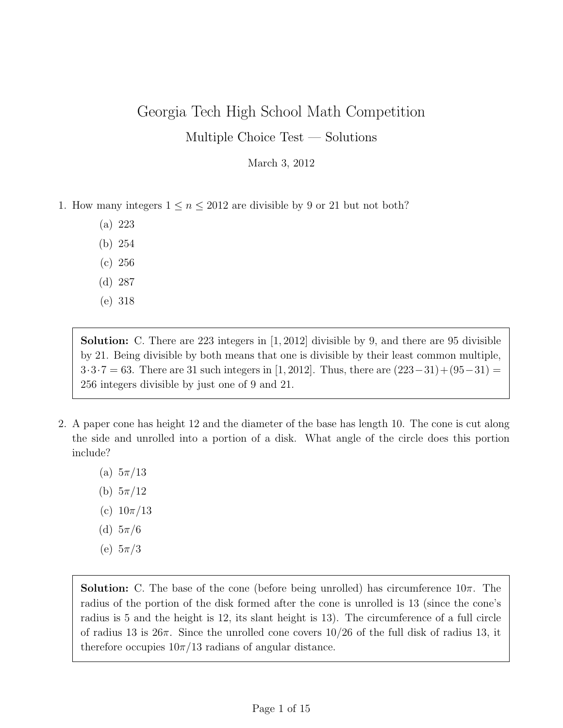## Georgia Tech High School Math Competition Multiple Choice Test — Solutions

## March 3, 2012

- 1. How many integers  $1 \leq n \leq 2012$  are divisible by 9 or 21 but not both?
	- (a) 223
	- (b) 254
	- (c) 256
	- (d) 287
	- (e) 318

Solution: C. There are 223 integers in [1, 2012] divisible by 9, and there are 95 divisible by 21. Being divisible by both means that one is divisible by their least common multiple,  $3·3·7 = 63$ . There are 31 such integers in [1, 2012]. Thus, there are  $(223-31)+(95-31) =$ 256 integers divisible by just one of 9 and 21.

- 2. A paper cone has height 12 and the diameter of the base has length 10. The cone is cut along the side and unrolled into a portion of a disk. What angle of the circle does this portion include?
	- (a)  $5\pi/13$
	- (b)  $5\pi/12$
	- (c)  $10\pi/13$
	- (d)  $5\pi/6$
	- (e)  $5\pi/3$

**Solution:** C. The base of the cone (before being unrolled) has circumference  $10\pi$ . The radius of the portion of the disk formed after the cone is unrolled is 13 (since the cone's radius is 5 and the height is 12, its slant height is 13). The circumference of a full circle of radius 13 is  $26\pi$ . Since the unrolled cone covers  $10/26$  of the full disk of radius 13, it therefore occupies  $10\pi/13$  radians of angular distance.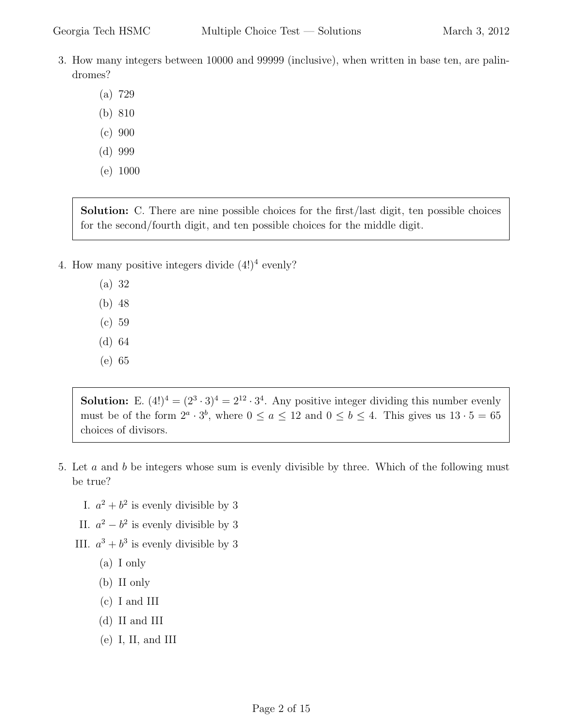- 3. How many integers between 10000 and 99999 (inclusive), when written in base ten, are palindromes?
	- (a) 729
	- (b) 810
	- $(c) 900$
	- (d) 999
	- (e) 1000

Solution: C. There are nine possible choices for the first/last digit, ten possible choices for the second/fourth digit, and ten possible choices for the middle digit.

- 4. How many positive integers divide  $(4!)^4$  evenly?
	- (a) 32
	- (b) 48
	- (c) 59
	- (d) 64
	- (e) 65

**Solution:** E.  $(4!)^4 = (2^3 \cdot 3)^4 = 2^{12} \cdot 3^4$ . Any positive integer dividing this number evenly must be of the form  $2^a \cdot 3^b$ , where  $0 \le a \le 12$  and  $0 \le b \le 4$ . This gives us  $13 \cdot 5 = 65$ choices of divisors.

- 5. Let a and b be integers whose sum is evenly divisible by three. Which of the following must be true?
	- I.  $a^2 + b^2$  is evenly divisible by 3
	- II.  $a^2 b^2$  is evenly divisible by 3
	- III.  $a^3 + b^3$  is evenly divisible by 3
		- (a) I only
		- (b) II only
		- (c) I and III
		- (d) II and III
		- (e) I, II, and III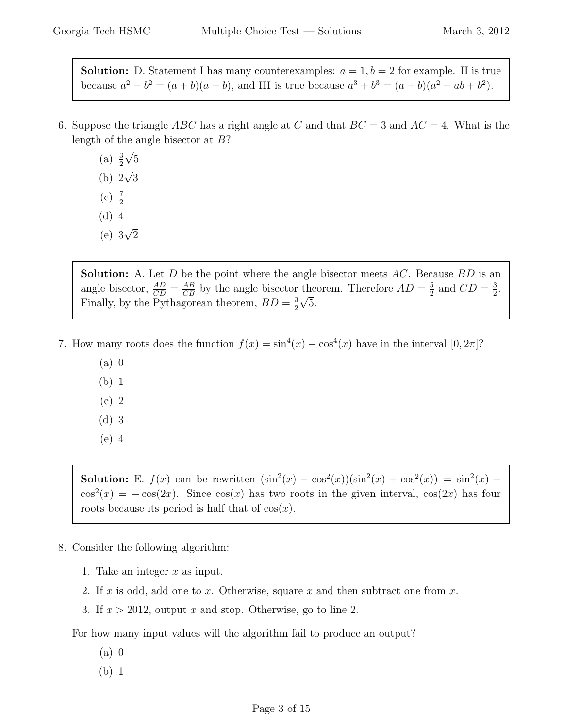**Solution:** D. Statement I has many counterexamples:  $a = 1, b = 2$  for example. II is true because  $a^2 - b^2 = (a + b)(a - b)$ , and III is true because  $a^3 + b^3 = (a + b)(a^2 - ab + b^2)$ .

- 6. Suppose the triangle ABC has a right angle at C and that  $BC = 3$  and  $AC = 4$ . What is the length of the angle bisector at B?
	- (a)  $\frac{3}{2}$ √ 5
	- (b)  $2\sqrt{3}$
	- (c)  $\frac{7}{2}$
	- (d) 4
	- $(e)$  3 $\sqrt{2}$

**Solution:** A. Let D be the point where the angle bisector meets  $AC$ . Because  $BD$  is an angle bisector,  $\frac{AD}{CD} = \frac{AB}{CB}$  by the angle bisector theorem. Therefore  $AD = \frac{5}{2}$  $\frac{5}{2}$  and  $CD = \frac{3}{2}$ theorem. Therefore  $AD = \frac{5}{2}$  and  $CD = \frac{3}{2}$ . Finally, by the Pythagorean theorem,  $BD = \frac{3}{2}$  $\frac{3}{2}\sqrt{5}$ .

- 7. How many roots does the function  $f(x) = \sin^4(x) \cos^4(x)$  have in the interval  $[0, 2\pi]$ ?
	- (a) 0
	- (b) 1
	- (c) 2
	- (d) 3
	- (e) 4

**Solution:** E.  $f(x)$  can be rewritten  $(\sin^2(x) - \cos^2(x))(\sin^2(x) + \cos^2(x)) = \sin^2(x) \cos^2(x) = -\cos(2x)$ . Since  $\cos(x)$  has two roots in the given interval,  $\cos(2x)$  has four roots because its period is half that of  $cos(x)$ .

- 8. Consider the following algorithm:
	- 1. Take an integer  $x$  as input.
	- 2. If x is odd, add one to x. Otherwise, square x and then subtract one from x.
	- 3. If  $x > 2012$ , output x and stop. Otherwise, go to line 2.

For how many input values will the algorithm fail to produce an output?

- (a) 0
- (b) 1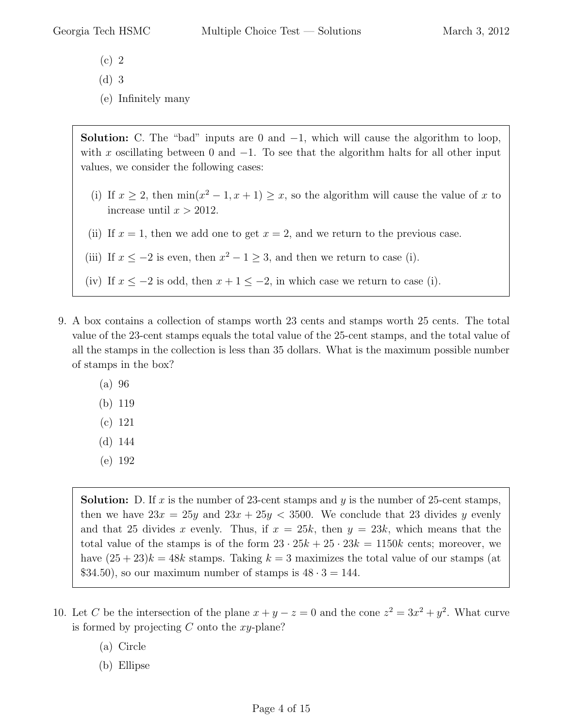- (c) 2
- (d) 3
- (e) Infinitely many

Solution: C. The "bad" inputs are 0 and  $-1$ , which will cause the algorithm to loop, with x oscillating between 0 and  $-1$ . To see that the algorithm halts for all other input values, we consider the following cases:

- (i) If  $x \geq 2$ , then  $\min(x^2 1, x + 1) \geq x$ , so the algorithm will cause the value of x to increase until  $x > 2012$ .
- (ii) If  $x = 1$ , then we add one to get  $x = 2$ , and we return to the previous case.

(iii) If 
$$
x \le -2
$$
 is even, then  $x^2 - 1 \ge 3$ , and then we return to case (i).

- (iv) If  $x \le -2$  is odd, then  $x + 1 \le -2$ , in which case we return to case (i).
- 9. A box contains a collection of stamps worth 23 cents and stamps worth 25 cents. The total value of the 23-cent stamps equals the total value of the 25-cent stamps, and the total value of all the stamps in the collection is less than 35 dollars. What is the maximum possible number of stamps in the box?
	- (a) 96
	- (b) 119
	- (c) 121
	- (d) 144
	- (e) 192

**Solution:** D. If x is the number of 23-cent stamps and y is the number of 25-cent stamps, then we have  $23x = 25y$  and  $23x + 25y < 3500$ . We conclude that 23 divides y evenly and that 25 divides x evenly. Thus, if  $x = 25k$ , then  $y = 23k$ , which means that the total value of the stamps is of the form  $23 \cdot 25k + 25 \cdot 23k = 1150k$  cents; moreover, we have  $(25+23)k = 48k$  stamps. Taking  $k = 3$  maximizes the total value of our stamps (at \$34.50), so our maximum number of stamps is  $48 \cdot 3 = 144$ .

- 10. Let C be the intersection of the plane  $x + y z = 0$  and the cone  $z^2 = 3x^2 + y^2$ . What curve is formed by projecting  $C$  onto the  $xy$ -plane?
	- (a) Circle
	- (b) Ellipse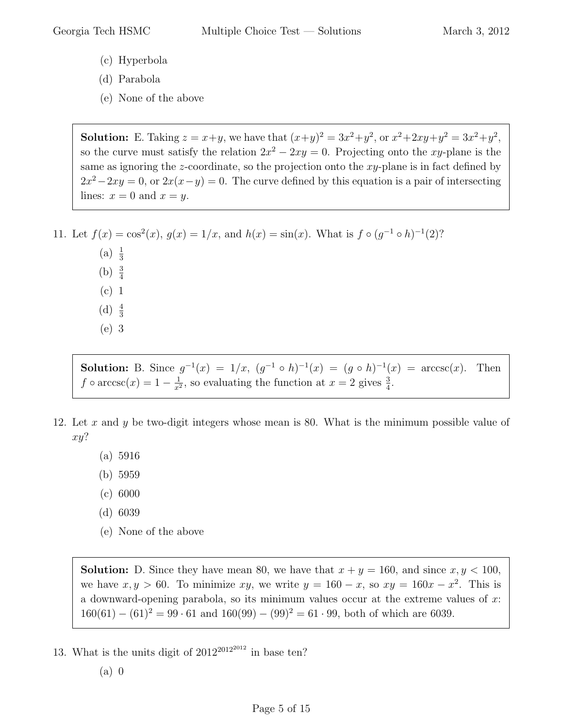- (c) Hyperbola
- (d) Parabola
- (e) None of the above

**Solution:** E. Taking  $z = x + y$ , we have that  $(x+y)^2 = 3x^2 + y^2$ , or  $x^2 + 2xy + y^2 = 3x^2 + y^2$ , so the curve must satisfy the relation  $2x^2 - 2xy = 0$ . Projecting onto the xy-plane is the same as ignoring the z-coordinate, so the projection onto the  $xy$ -plane is in fact defined by  $2x^2 - 2xy = 0$ , or  $2x(x - y) = 0$ . The curve defined by this equation is a pair of intersecting lines:  $x = 0$  and  $x = y$ .

```
11. Let f(x) = \cos^2(x), g(x) = 1/x, and h(x) = \sin(x). What is f \circ (g^{-1} \circ h)^{-1}(2)?
```
 $(a) \frac{1}{3}$ (b)  $\frac{3}{4}$ (c) 1 (d)  $\frac{4}{3}$ (e) 3

**Solution:** B. Since  $g^{-1}(x) = 1/x$ ,  $(g^{-1} \circ h)^{-1}(x) = (g \circ h)^{-1}(x) = \arccos(x)$ . Then  $f \circ \arccsc(x) = 1 - \frac{1}{x^2}$  $\frac{1}{x^2}$ , so evaluating the function at  $x = 2$  gives  $\frac{3}{4}$ .

- 12. Let x and y be two-digit integers whose mean is 80. What is the minimum possible value of xy?
	- (a) 5916
	- (b) 5959
	- (c) 6000
	- (d) 6039
	- (e) None of the above

**Solution:** D. Since they have mean 80, we have that  $x + y = 160$ , and since  $x, y < 100$ , we have  $x, y > 60$ . To minimize  $xy$ , we write  $y = 160 - x$ , so  $xy = 160x - x^2$ . This is a downward-opening parabola, so its minimum values occur at the extreme values of  $x$ :  $160(61) - (61)^2 = 99 \cdot 61$  and  $160(99) - (99)^2 = 61 \cdot 99$ , both of which are 6039.

13. What is the units digit of  $2012^{2012^{2012}}$  in base ten?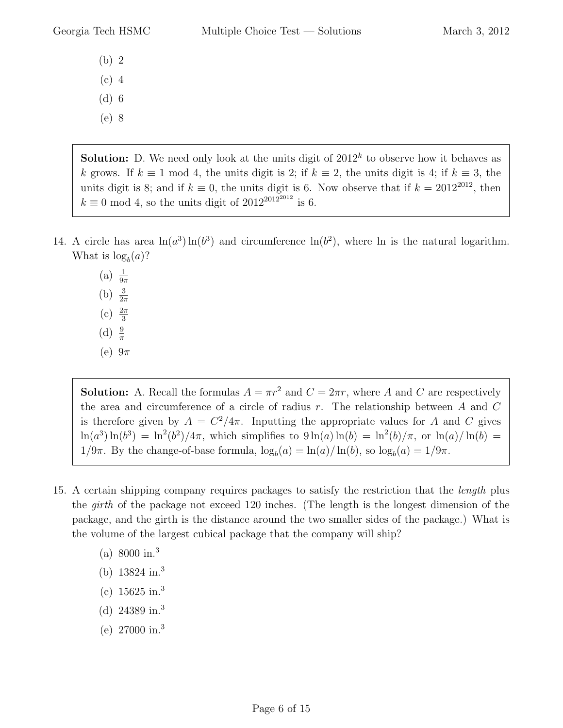- (b) 2
- (c) 4
- (d) 6
- (e) 8

**Solution:** D. We need only look at the units digit of  $2012<sup>k</sup>$  to observe how it behaves as k grows. If  $k \equiv 1 \mod 4$ , the units digit is 2; if  $k \equiv 2$ , the units digit is 4; if  $k \equiv 3$ , the units digit is 8; and if  $k \equiv 0$ , the units digit is 6. Now observe that if  $k = 2012^{2012}$ , then  $k \equiv 0 \mod 4$ , so the units digit of  $2012^{2012^{2012}}$  is 6.

- 14. A circle has area  $\ln(a^3)\ln(b^3)$  and circumference  $\ln(b^2)$ , where ln is the natural logarithm. What is  $log_b(a)$ ?
	- (a)  $\frac{1}{9\pi}$
	- (b)  $\frac{3}{2\pi}$
	- (c)  $\frac{2\pi}{3}$
	-
	- (d)  $\frac{9}{\pi}$
	- (e)  $9\pi$

**Solution:** A. Recall the formulas  $A = \pi r^2$  and  $C = 2\pi r$ , where A and C are respectively the area and circumference of a circle of radius  $r$ . The relationship between  $A$  and  $C$ is therefore given by  $A = C^2/4\pi$ . Inputting the appropriate values for A and C gives  $\ln(a^3)\ln(b^3) = \ln^2(b^2)/4\pi$ , which simplifies to  $9\ln(a)\ln(b) = \ln^2(b)/\pi$ , or  $\ln(a)/\ln(b) =$  $1/9\pi$ . By the change-of-base formula,  $\log_b(a) = \ln(a)/\ln(b)$ , so  $\log_b(a) = 1/9\pi$ .

- 15. A certain shipping company requires packages to satisfy the restriction that the length plus the girth of the package not exceed 120 inches. (The length is the longest dimension of the package, and the girth is the distance around the two smaller sides of the package.) What is the volume of the largest cubical package that the company will ship?
	- (a) 8000 in.<sup>3</sup>
	- (b) 13824 in.<sup>3</sup>
	- (c)  $15625 \text{ in.}^3$
	- (d)  $24389 \text{ in.}^3$
	- (e) 27000 in.<sup>3</sup>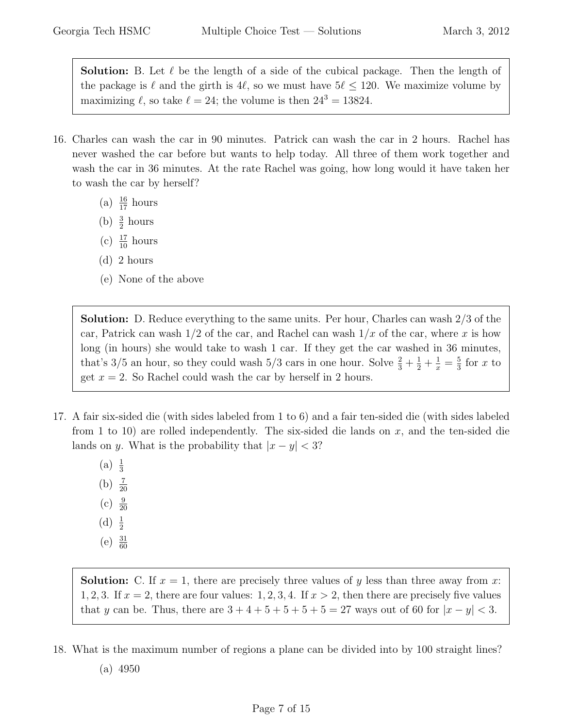**Solution:** B. Let  $\ell$  be the length of a side of the cubical package. Then the length of the package is  $\ell$  and the girth is 4 $\ell$ , so we must have  $5\ell \le 120$ . We maximize volume by maximizing  $\ell$ , so take  $\ell = 24$ ; the volume is then  $24^3 = 13824$ .

- 16. Charles can wash the car in 90 minutes. Patrick can wash the car in 2 hours. Rachel has never washed the car before but wants to help today. All three of them work together and wash the car in 36 minutes. At the rate Rachel was going, how long would it have taken her to wash the car by herself?
	- (a)  $\frac{16}{17}$  hours
	- (b)  $\frac{3}{2}$  hours
	- (c)  $\frac{17}{10}$  hours
	- (d) 2 hours
	- (e) None of the above

Solution: D. Reduce everything to the same units. Per hour, Charles can wash  $2/3$  of the car, Patrick can wash  $1/2$  of the car, and Rachel can wash  $1/x$  of the car, where x is how long (in hours) she would take to wash 1 car. If they get the car washed in 36 minutes, that's 3/5 an hour, so they could wash 5/3 cars in one hour. Solve  $\frac{2}{3} + \frac{1}{2} + \frac{1}{x} = \frac{5}{3}$  $\frac{5}{3}$  for x to get  $x = 2$ . So Rachel could wash the car by herself in 2 hours.

- 17. A fair six-sided die (with sides labeled from 1 to 6) and a fair ten-sided die (with sides labeled from 1 to 10) are rolled independently. The six-sided die lands on  $x$ , and the ten-sided die lands on y. What is the probability that  $|x - y| < 3$ ?
	- $(a) \frac{1}{3}$ (b)  $\frac{7}{20}$  $(c) \frac{9}{20}$ (d)  $\frac{1}{2}$ (e)  $\frac{31}{60}$

**Solution:** C. If  $x = 1$ , there are precisely three values of y less than three away from x: 1, 2, 3. If  $x = 2$ , there are four values: 1, 2, 3, 4. If  $x > 2$ , then there are precisely five values that y can be. Thus, there are  $3 + 4 + 5 + 5 + 5 + 5 = 27$  ways out of 60 for  $|x - y| < 3$ .

- 18. What is the maximum number of regions a plane can be divided into by 100 straight lines?
	- (a) 4950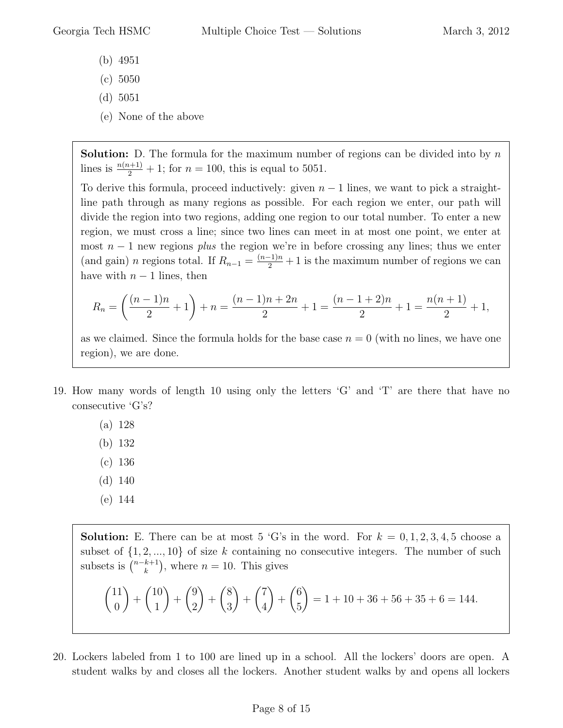- (b) 4951
- (c) 5050
- (d) 5051
- (e) None of the above

**Solution:** D. The formula for the maximum number of regions can be divided into by  $n$ lines is  $\frac{n(n+1)}{2} + 1$ ; for  $n = 100$ , this is equal to 5051.

To derive this formula, proceed inductively: given  $n-1$  lines, we want to pick a straightline path through as many regions as possible. For each region we enter, our path will divide the region into two regions, adding one region to our total number. To enter a new region, we must cross a line; since two lines can meet in at most one point, we enter at most  $n - 1$  new regions plus the region we're in before crossing any lines; thus we enter (and gain) *n* regions total. If  $R_{n-1} = \frac{(n-1)n}{2} + 1$  is the maximum number of regions we can have with  $n-1$  lines, then

$$
R_n = \left(\frac{(n-1)n}{2} + 1\right) + n = \frac{(n-1)n + 2n}{2} + 1 = \frac{(n-1+2)n}{2} + 1 = \frac{n(n+1)}{2} + 1,
$$

as we claimed. Since the formula holds for the base case  $n = 0$  (with no lines, we have one region), we are done.

- 19. How many words of length 10 using only the letters 'G' and 'T' are there that have no consecutive 'G's?
	- (a) 128
	- (b) 132
	- (c) 136
	- (d) 140
	- (e) 144

**Solution:** E. There can be at most 5 'G's in the word. For  $k = 0, 1, 2, 3, 4, 5$  choose a subset of  $\{1, 2, ..., 10\}$  of size k containing no consecutive integers. The number of such subsets is  $\binom{n-k+1}{k}$  $\binom{k+1}{k}$ , where  $n = 10$ . This gives  $(11)$ 0  $\setminus$  $+$  $(10$ 1  $\setminus$  $+$  $\sqrt{9}$ 2  $\setminus$  $+$  8 3  $\setminus$  $+$  $\sqrt{7}$ 4 ).  $+$  $(6)$ 5  $\setminus$  $= 1 + 10 + 36 + 56 + 35 + 6 = 144.$ 

20. Lockers labeled from 1 to 100 are lined up in a school. All the lockers' doors are open. A student walks by and closes all the lockers. Another student walks by and opens all lockers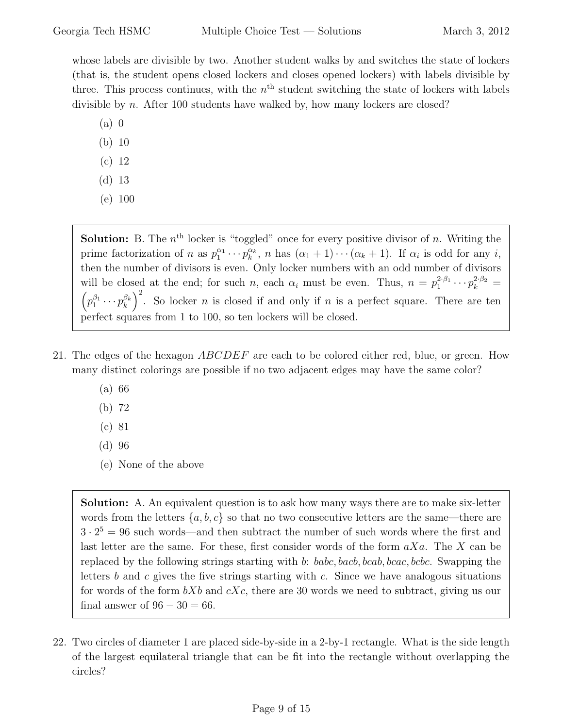whose labels are divisible by two. Another student walks by and switches the state of lockers (that is, the student opens closed lockers and closes opened lockers) with labels divisible by three. This process continues, with the  $n<sup>th</sup>$  student switching the state of lockers with labels divisible by *n*. After 100 students have walked by, how many lockers are closed?

- (a) 0
- (b) 10
- (c) 12
- (d) 13
- (e) 100

**Solution:** B. The  $n<sup>th</sup>$  locker is "toggled" once for every positive divisor of n. Writing the prime factorization of n as  $p_1^{\alpha_1} \cdots p_k^{\alpha_k}$ , n has  $(\alpha_1 + 1) \cdots (\alpha_k + 1)$ . If  $\alpha_i$  is odd for any i, then the number of divisors is even. Only locker numbers with an odd number of divisors will be closed at the end; for such n, each  $\alpha_i$  must be even. Thus,  $n = p_1^{2\cdot\beta_1} \cdots p_k^{2\cdot\beta_2} =$  $\left(p_1^{\beta_1}\cdots p_k^{\beta_k}\right)$  $\binom{\beta_k}{k}^2$ . So locker *n* is closed if and only if *n* is a perfect square. There are ten perfect squares from 1 to 100, so ten lockers will be closed.

- 21. The edges of the hexagon  $ABCDEF$  are each to be colored either red, blue, or green. How many distinct colorings are possible if no two adjacent edges may have the same color?
	- (a) 66
	- (b) 72
	- (c) 81
	- (d) 96
	- (e) None of the above

Solution: A. An equivalent question is to ask how many ways there are to make six-letter words from the letters  $\{a, b, c\}$  so that no two consecutive letters are the same—there are  $3 \cdot 2^5 = 96$  such words—and then subtract the number of such words where the first and last letter are the same. For these, first consider words of the form  $aXa$ . The X can be replaced by the following strings starting with b: babc, bacb, bcab, bcac, bcbc. Swapping the letters b and c gives the five strings starting with c. Since we have analogous situations for words of the form  $bXb$  and  $cXc$ , there are 30 words we need to subtract, giving us our final answer of  $96 - 30 = 66$ .

22. Two circles of diameter 1 are placed side-by-side in a 2-by-1 rectangle. What is the side length of the largest equilateral triangle that can be fit into the rectangle without overlapping the circles?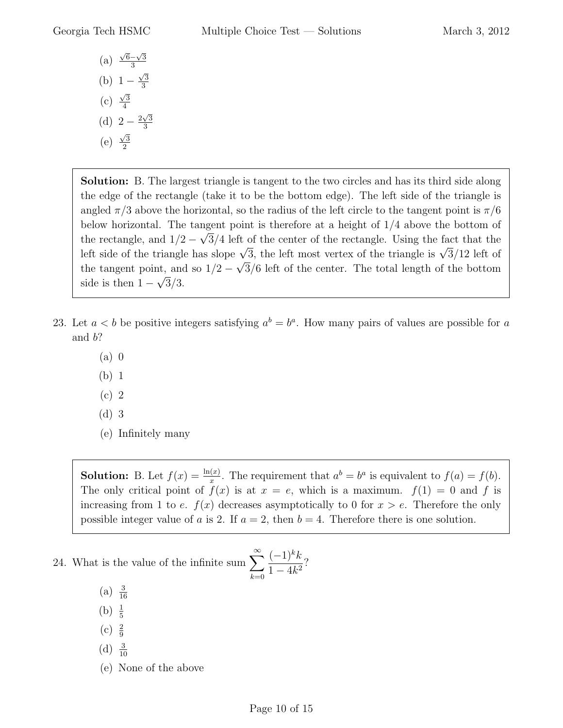Georgia Tech HSMC Multiple Choice Test — Solutions March 3, 2012

(a)  $\sqrt{6}-\sqrt{3}$ 3  $(b) 1 \sqrt{3}$ 3 (c)  $\sqrt{3}$ 4 (d)  $2 - \frac{2\sqrt{3}}{3}$ 3 (e)  $\sqrt{3}$ 2

Solution: B. The largest triangle is tangent to the two circles and has its third side along the edge of the rectangle (take it to be the bottom edge). The left side of the triangle is angled  $\pi/3$  above the horizontal, so the radius of the left circle to the tangent point is  $\pi/6$ below horizontal. The tangent point is therefore at a height of  $1/4$  above the bottom of the rectangle, and  $1/2 - \sqrt{3}/4$  left of the center of the rectangle. Using the fact that the Left side of the triangle has slope  $\sqrt{3}$ , the left most vertex of the triangle is  $\sqrt{3}/12$  left of the tangent point, and so  $1/2 - \sqrt{3}/6$  left of the center. The total length of the bottom side is then  $1 - \sqrt{3}/3$ .

- 23. Let  $a < b$  be positive integers satisfying  $a^b = b^a$ . How many pairs of values are possible for a and b?
	- (a) 0
	- (b) 1
	- (c) 2
	- (d) 3
	- (e) Infinitely many

**Solution:** B. Let  $f(x) = \frac{\ln(x)}{x}$ . The requirement that  $a^b = b^a$  is equivalent to  $f(a) = f(b)$ . The only critical point of  $f(x)$  is at  $x = e$ , which is a maximum.  $f(1) = 0$  and f is increasing from 1 to e.  $f(x)$  decreases asymptotically to 0 for  $x > e$ . Therefore the only possible integer value of a is 2. If  $a = 2$ , then  $b = 4$ . Therefore there is one solution.

- 24. What is the value of the infinite sum  $\sum_{n=1}^{\infty}$  $_{k=0}$  $(-1)^k k$  $\frac{(1+i)^n}{1-4k^2}$ ?
	- (a)  $\frac{3}{16}$ (b)  $\frac{1}{5}$ (c)  $\frac{2}{9}$
	- (d)  $\frac{3}{10}$
	- (e) None of the above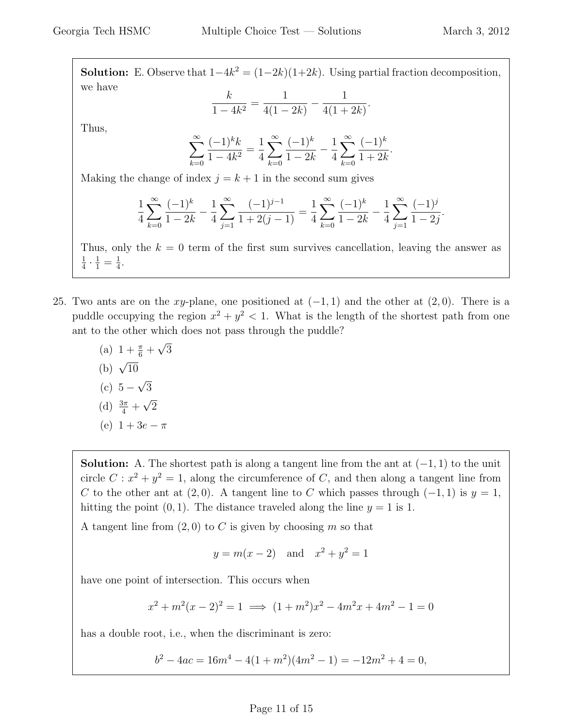**Solution:** E. Observe that  $1-4k^2 = (1-2k)(1+2k)$ . Using partial fraction decomposition, we have

$$
\frac{k}{1-4k^2} = \frac{1}{4(1-2k)} - \frac{1}{4(1+2k)}.
$$

Thus,

$$
\sum_{k=0}^{\infty} \frac{(-1)^k k}{1-4k^2} = \frac{1}{4} \sum_{k=0}^{\infty} \frac{(-1)^k}{1-2k} - \frac{1}{4} \sum_{k=0}^{\infty} \frac{(-1)^k}{1+2k}.
$$

Making the change of index  $j = k + 1$  in the second sum gives

$$
\frac{1}{4} \sum_{k=0}^{\infty} \frac{(-1)^k}{1-2k} - \frac{1}{4} \sum_{j=1}^{\infty} \frac{(-1)^{j-1}}{1+2(j-1)} = \frac{1}{4} \sum_{k=0}^{\infty} \frac{(-1)^k}{1-2k} - \frac{1}{4} \sum_{j=1}^{\infty} \frac{(-1)^j}{1-2j}.
$$

Thus, only the  $k = 0$  term of the first sum survives cancellation, leaving the answer as 1  $\frac{1}{4} \cdot \frac{1}{1} = \frac{1}{4}$  $\frac{1}{4}$ .

- 25. Two ants are on the xy-plane, one positioned at  $(-1,1)$  and the other at  $(2,0)$ . There is a puddle occupying the region  $x^2 + y^2 < 1$ . What is the length of the shortest path from one ant to the other which does not pass through the puddle?
	- (a)  $1 + \frac{\pi}{6} +$ √ 3 (b)  $\sqrt{10}$  $(c) 5 -$ √ 3
	- (d)  $\frac{3\pi}{4}$  + √ 2

(e) 
$$
1 + 3e - \pi
$$

**Solution:** A. The shortest path is along a tangent line from the ant at  $(-1, 1)$  to the unit circle  $C: x^2 + y^2 = 1$ , along the circumference of C, and then along a tangent line from C to the other ant at  $(2, 0)$ . A tangent line to C which passes through  $(-1, 1)$  is  $y = 1$ , hitting the point  $(0, 1)$ . The distance traveled along the line  $y = 1$  is 1.

A tangent line from  $(2,0)$  to C is given by choosing m so that

$$
y = m(x - 2)
$$
 and  $x^2 + y^2 = 1$ 

have one point of intersection. This occurs when

$$
x^{2} + m^{2}(x - 2)^{2} = 1 \implies (1 + m^{2})x^{2} - 4m^{2}x + 4m^{2} - 1 = 0
$$

has a double root, i.e., when the discriminant is zero:

$$
b2 - 4ac = 16m4 - 4(1 + m2)(4m2 - 1) = -12m2 + 4 = 0,
$$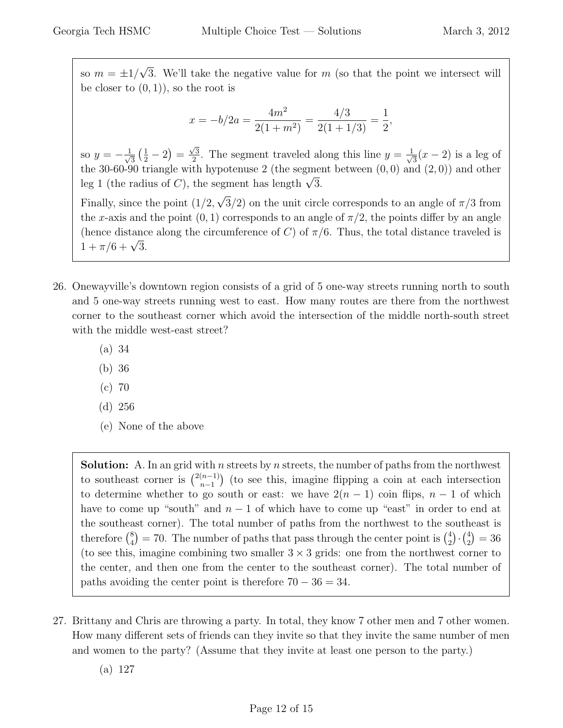so  $m = \pm 1/2$ √ 3. We'll take the negative value for  $m$  (so that the point we intersect will be closer to  $(0, 1)$ , so the root is

$$
x = -b/2a = \frac{4m^2}{2(1+m^2)} = \frac{4/3}{2(1+1/3)} = \frac{1}{2},
$$

so  $y = -\frac{1}{\sqrt{2}}$  $\frac{1}{3}(\frac{1}{2}-2) =$  $\sqrt{3}$  $\frac{\sqrt{3}}{2}$ . The segment traveled along this line  $y=\frac{1}{\sqrt{3}}$  $\frac{1}{3}(x-2)$  is a leg of the 30-60-90 triangle with hypotenuse 2 (the segment between  $(0,0)$  and  $(2,0)$ ) and other leg 1 (the radius of C), the segment has length  $\sqrt{3}$ . √

Finally, since the point  $(1/2,$  $3/2$ ) on the unit circle corresponds to an angle of  $\pi/3$  from the x-axis and the point  $(0, 1)$  corresponds to an angle of  $\pi/2$ , the points differ by an angle (hence distance along the circumference of C) of  $\pi/6$ . Thus, the total distance traveled is (nence distance)<br> $1 + \pi/6 + \sqrt{3}$ .

- 26. Onewayville's downtown region consists of a grid of 5 one-way streets running north to south and 5 one-way streets running west to east. How many routes are there from the northwest corner to the southeast corner which avoid the intersection of the middle north-south street with the middle west-east street?
	- (a) 34
	- (b) 36
	- $(c) 70$
	- (d) 256
	- (e) None of the above

**Solution:** A. In an grid with n streets by n streets, the number of paths from the northwest to southeast corner is  $\binom{2(n-1)}{n-1}$  $\binom{n-1}{n-1}$  (to see this, imagine flipping a coin at each intersection to determine whether to go south or east: we have  $2(n-1)$  coin flips,  $n-1$  of which have to come up "south" and  $n-1$  of which have to come up "east" in order to end at the southeast corner). The total number of paths from the northwest to the southeast is therefore  $\binom{8}{4}$  $_{4}^{8}$ ) = 70. The number of paths that pass through the center point is  $_{2}^{4}$  $^{4}_{2}) \cdot \binom{4}{2}$  $_{2}^{4}) = 36$ (to see this, imagine combining two smaller  $3 \times 3$  grids: one from the northwest corner to the center, and then one from the center to the southeast corner). The total number of paths avoiding the center point is therefore  $70 - 36 = 34$ .

- 27. Brittany and Chris are throwing a party. In total, they know 7 other men and 7 other women. How many different sets of friends can they invite so that they invite the same number of men and women to the party? (Assume that they invite at least one person to the party.)
	- (a) 127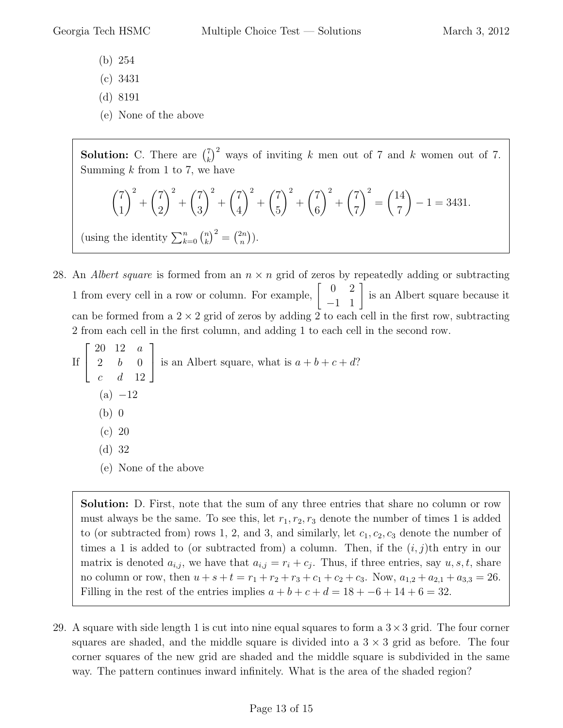- (b) 254
- (c) 3431
- (d) 8191
- (e) None of the above

**Solution:** C. There are  $\binom{7}{k}$  $(k)$ <sup>7</sup> ways of inviting k men out of 7 and k women out of 7. Summing  $k$  from 1 to 7, we have

$$
\binom{7}{1}^2 + \binom{7}{2}^2 + \binom{7}{3}^2 + \binom{7}{4}^2 + \binom{7}{5}^2 + \binom{7}{6}^2 + \binom{7}{7}^2 = \binom{14}{7} - 1 = 3431.
$$

(using the identity  $\sum_{k=0}^{n} {n \choose k}$  $\binom{n}{k}^2 = \binom{2n}{n}$  $\binom{2n}{n}$ .

28. An *Albert square* is formed from an  $n \times n$  grid of zeros by repeatedly adding or subtracting 1 from every cell in a row or column. For example,  $\begin{bmatrix} 0 & 2 \\ -1 & 1 \end{bmatrix}$ is an Albert square because it can be formed from a  $2 \times 2$  grid of zeros by adding 2 to each cell in the first row, subtracting 2 from each cell in the first column, and adding 1 to each cell in the second row.

 $\left| \begin{array}{c} \end{array} \right|$  $\sqrt{ }$ 20 12 a 2 b 0  $d \quad 12$ 1 is an Albert square, what is  $a + b + c + d$ ?  $(a) -12$ (b) 0 (c) 20 (d) 32 (e) None of the above

Solution: D. First, note that the sum of any three entries that share no column or row must always be the same. To see this, let  $r_1, r_2, r_3$  denote the number of times 1 is added to (or subtracted from) rows 1, 2, and 3, and similarly, let  $c_1, c_2, c_3$  denote the number of times a 1 is added to (or subtracted from) a column. Then, if the  $(i, j)$ th entry in our matrix is denoted  $a_{i,j}$ , we have that  $a_{i,j} = r_i + c_j$ . Thus, if three entries, say  $u, s, t$ , share no column or row, then  $u + s + t = r_1 + r_2 + r_3 + c_1 + c_2 + c_3$ . Now,  $a_{1,2} + a_{2,1} + a_{3,3} = 26$ . Filling in the rest of the entries implies  $a + b + c + d = 18 + -6 + 14 + 6 = 32$ .

29. A square with side length 1 is cut into nine equal squares to form a  $3 \times 3$  grid. The four corner squares are shaded, and the middle square is divided into a  $3 \times 3$  grid as before. The four corner squares of the new grid are shaded and the middle square is subdivided in the same way. The pattern continues inward infinitely. What is the area of the shaded region?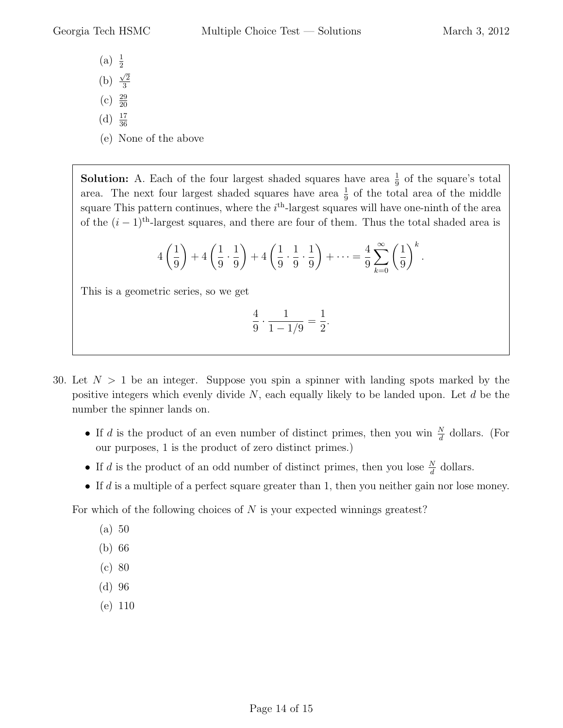- $(a) \frac{1}{2}$
- (b)  $\sqrt{2}$ 3
- $(c) \frac{29}{20}$
- (d)  $\frac{17}{36}$
- (e) None of the above

**Solution:** A. Each of the four largest shaded squares have area  $\frac{1}{9}$  of the square's total area. The next four largest shaded squares have area  $\frac{1}{9}$  of the total area of the middle square This pattern continues, where the  $i<sup>th</sup>$ -largest squares will have one-ninth of the area of the  $(i - 1)$ <sup>th</sup>-largest squares, and there are four of them. Thus the total shaded area is

$$
4\left(\frac{1}{9}\right) + 4\left(\frac{1}{9}\cdot\frac{1}{9}\right) + 4\left(\frac{1}{9}\cdot\frac{1}{9}\cdot\frac{1}{9}\right) + \dots = \frac{4}{9}\sum_{k=0}^{\infty} \left(\frac{1}{9}\right)^k.
$$

This is a geometric series, so we get

$$
\frac{4}{9} \cdot \frac{1}{1 - 1/9} = \frac{1}{2}.
$$

- 30. Let  $N > 1$  be an integer. Suppose you spin a spinner with landing spots marked by the positive integers which evenly divide  $N$ , each equally likely to be landed upon. Let  $d$  be the number the spinner lands on.
	- If d is the product of an even number of distinct primes, then you win  $\frac{N}{d}$  dollars. (For our purposes, 1 is the product of zero distinct primes.)
	- If d is the product of an odd number of distinct primes, then you lose  $\frac{N}{d}$  dollars.
	- If  $d$  is a multiple of a perfect square greater than 1, then you neither gain nor lose money.

For which of the following choices of  $N$  is your expected winnings greatest?

- (a) 50
- (b) 66
- (c) 80
- (d) 96
- (e) 110